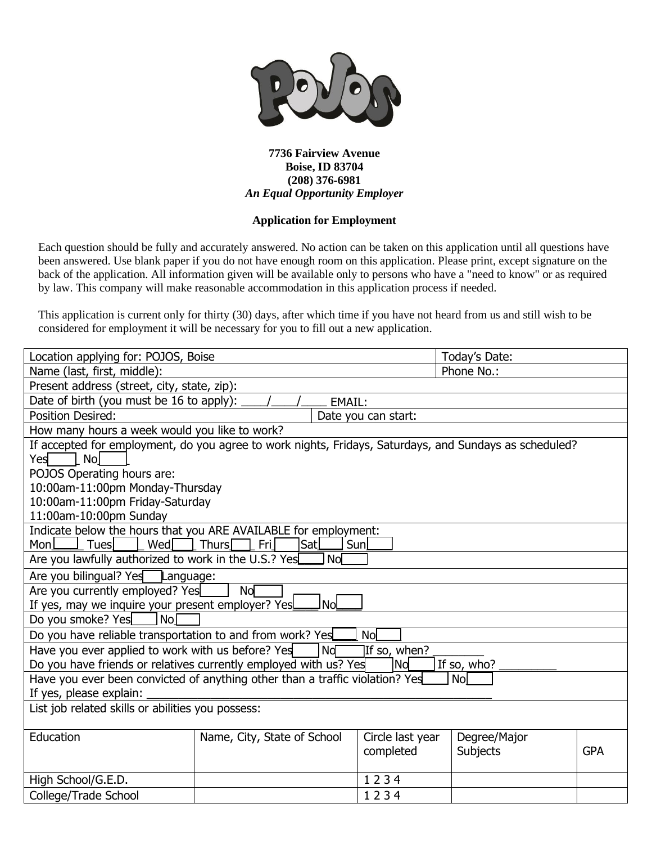

## **7736 Fairview Avenue Boise, ID 83704 (208) 376-6981** *An Equal Opportunity Employer*

## **Application for Employment**

Each question should be fully and accurately answered. No action can be taken on this application until all questions have been answered. Use blank paper if you do not have enough room on this application. Please print, except signature on the back of the application. All information given will be available only to persons who have a "need to know" or as required by law. This company will make reasonable accommodation in this application process if needed.

This application is current only for thirty (30) days, after which time if you have not heard from us and still wish to be considered for employment it will be necessary for you to fill out a new application.

| Location applying for: POJOS, Boise                                                                                        |                                     |                               | Today's Date:            |            |
|----------------------------------------------------------------------------------------------------------------------------|-------------------------------------|-------------------------------|--------------------------|------------|
| Name (last, first, middle):                                                                                                |                                     |                               | Phone No.:               |            |
| Present address (street, city, state, zip):                                                                                |                                     |                               |                          |            |
| Date of birth (you must be 16 to apply):                                                                                   | EMAIL:                              |                               |                          |            |
| <b>Position Desired:</b>                                                                                                   |                                     | Date you can start:           |                          |            |
| How many hours a week would you like to work?                                                                              |                                     |                               |                          |            |
| If accepted for employment, do you agree to work nights, Fridays, Saturdays, and Sundays as scheduled?<br>Yes<br><b>No</b> |                                     |                               |                          |            |
| POJOS Operating hours are:                                                                                                 |                                     |                               |                          |            |
| 10:00am-11:00pm Monday-Thursday                                                                                            |                                     |                               |                          |            |
| 10:00am-11:00pm Friday-Saturday                                                                                            |                                     |                               |                          |            |
| 11:00am-10:00pm Sunday                                                                                                     |                                     |                               |                          |            |
| Indicate below the hours that you ARE AVAILABLE for employment:                                                            |                                     |                               |                          |            |
| Mon $\sqcup$<br>Tues<br>Wed                                                                                                | Fri<br>Sunl<br><b>Thurs</b><br> Sat |                               |                          |            |
| Are you lawfully authorized to work in the U.S.? Yes                                                                       | Nol                                 |                               |                          |            |
| Are you bilingual? Yes<br>Language:                                                                                        |                                     |                               |                          |            |
| Are you currently employed? Yes                                                                                            | Nol                                 |                               |                          |            |
| <b>Nol</b><br>If yes, may we inquire your present employer? Yes                                                            |                                     |                               |                          |            |
| Nol<br>Do you smoke? Yes                                                                                                   |                                     |                               |                          |            |
| Do you have reliable transportation to and from work? Yes<br><b>No</b>                                                     |                                     |                               |                          |            |
| Have you ever applied to work with us before? Yes                                                                          | Nd                                  | If so, when?                  |                          |            |
| Do you have friends or relatives currently employed with us? Yes<br>lNol<br>If so, who?                                    |                                     |                               |                          |            |
| Have you ever been convicted of anything other than a traffic violation? Yes<br><b>Nol</b>                                 |                                     |                               |                          |            |
| If yes, please explain:                                                                                                    |                                     |                               |                          |            |
| List job related skills or abilities you possess:                                                                          |                                     |                               |                          |            |
|                                                                                                                            |                                     |                               |                          |            |
| Education                                                                                                                  | Name, City, State of School         | Circle last year<br>completed | Degree/Major<br>Subjects | <b>GPA</b> |
| High School/G.E.D.                                                                                                         |                                     | 1234                          |                          |            |
| College/Trade School                                                                                                       | 1234                                |                               |                          |            |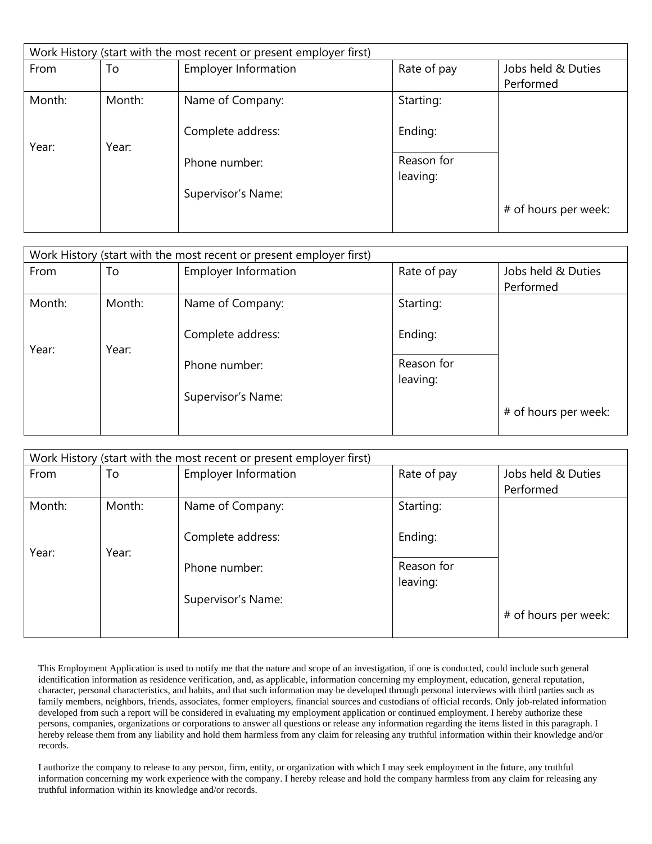| Work History (start with the most recent or present employer first) |        |                             |             |                      |
|---------------------------------------------------------------------|--------|-----------------------------|-------------|----------------------|
| From                                                                | To     | <b>Employer Information</b> | Rate of pay | Jobs held & Duties   |
|                                                                     |        |                             |             | Performed            |
| Month:                                                              | Month: | Name of Company:            | Starting:   |                      |
|                                                                     |        |                             |             |                      |
|                                                                     |        | Complete address:           | Ending:     |                      |
| Year:                                                               | Year:  |                             |             |                      |
|                                                                     |        | Phone number:               | Reason for  |                      |
|                                                                     |        |                             | leaving:    |                      |
|                                                                     |        | Supervisor's Name:          |             |                      |
|                                                                     |        |                             |             | # of hours per week: |
|                                                                     |        |                             |             |                      |

| Work History (start with the most recent or present employer first) |        |                             |             |                      |
|---------------------------------------------------------------------|--------|-----------------------------|-------------|----------------------|
| From                                                                | To     | <b>Employer Information</b> | Rate of pay | Jobs held & Duties   |
|                                                                     |        |                             |             | Performed            |
| Month:                                                              | Month: | Name of Company:            | Starting:   |                      |
|                                                                     |        |                             |             |                      |
|                                                                     |        | Complete address:           | Ending:     |                      |
| Year:                                                               | Year:  |                             |             |                      |
|                                                                     |        | Phone number:               | Reason for  |                      |
|                                                                     |        |                             | leaving:    |                      |
|                                                                     |        | Supervisor's Name:          |             |                      |
|                                                                     |        |                             |             | # of hours per week: |
|                                                                     |        |                             |             |                      |

| Work History (start with the most recent or present employer first) |        |                             |             |                      |
|---------------------------------------------------------------------|--------|-----------------------------|-------------|----------------------|
| From                                                                | To     | <b>Employer Information</b> | Rate of pay | Jobs held & Duties   |
|                                                                     |        |                             |             | Performed            |
| Month:                                                              | Month: | Name of Company:            | Starting:   |                      |
|                                                                     |        |                             |             |                      |
|                                                                     |        | Complete address:           | Ending:     |                      |
| Year:                                                               | Year:  |                             |             |                      |
|                                                                     |        | Phone number:               | Reason for  |                      |
|                                                                     |        |                             | leaving:    |                      |
|                                                                     |        | Supervisor's Name:          |             |                      |
|                                                                     |        |                             |             | # of hours per week: |
|                                                                     |        |                             |             |                      |

This Employment Application is used to notify me that the nature and scope of an investigation, if one is conducted, could include such general identification information as residence verification, and, as applicable, information concerning my employment, education, general reputation, character, personal characteristics, and habits, and that such information may be developed through personal interviews with third parties such as family members, neighbors, friends, associates, former employers, financial sources and custodians of official records. Only job-related information developed from such a report will be considered in evaluating my employment application or continued employment. I hereby authorize these persons, companies, organizations or corporations to answer all questions or release any information regarding the items listed in this paragraph. I hereby release them from any liability and hold them harmless from any claim for releasing any truthful information within their knowledge and/or records.

I authorize the company to release to any person, firm, entity, or organization with which I may seek employment in the future, any truthful information concerning my work experience with the company. I hereby release and hold the company harmless from any claim for releasing any truthful information within its knowledge and/or records.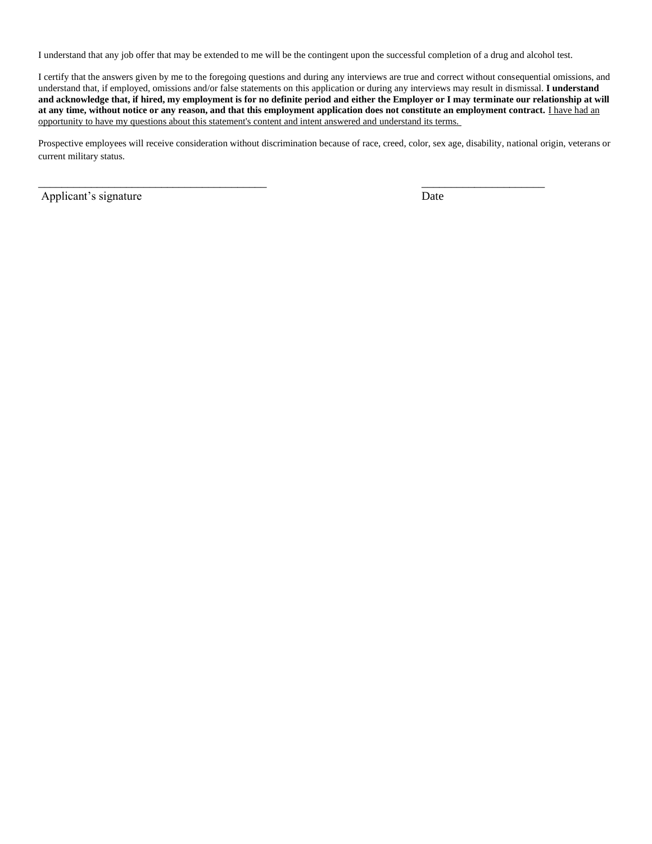I understand that any job offer that may be extended to me will be the contingent upon the successful completion of a drug and alcohol test.

 $\overline{\phantom{a}}$  , and the contract of the contract of the contract of the contract of the contract of the contract of the contract of the contract of the contract of the contract of the contract of the contract of the contrac

I certify that the answers given by me to the foregoing questions and during any interviews are true and correct without consequential omissions, and understand that, if employed, omissions and/or false statements on this application or during any interviews may result in dismissal. **I understand and acknowledge that, if hired, my employment is for no definite period and either the Employer or I may terminate our relationship at will**  at any time, without notice or any reason, and that this employment application does not constitute an employment contract. *I have had an* opportunity to have my questions about this statement's content and intent answered and understand its terms.

Prospective employees will receive consideration without discrimination because of race, creed, color, sex age, disability, national origin, veterans or current military status.

Applicant's signature Date Date Date Date